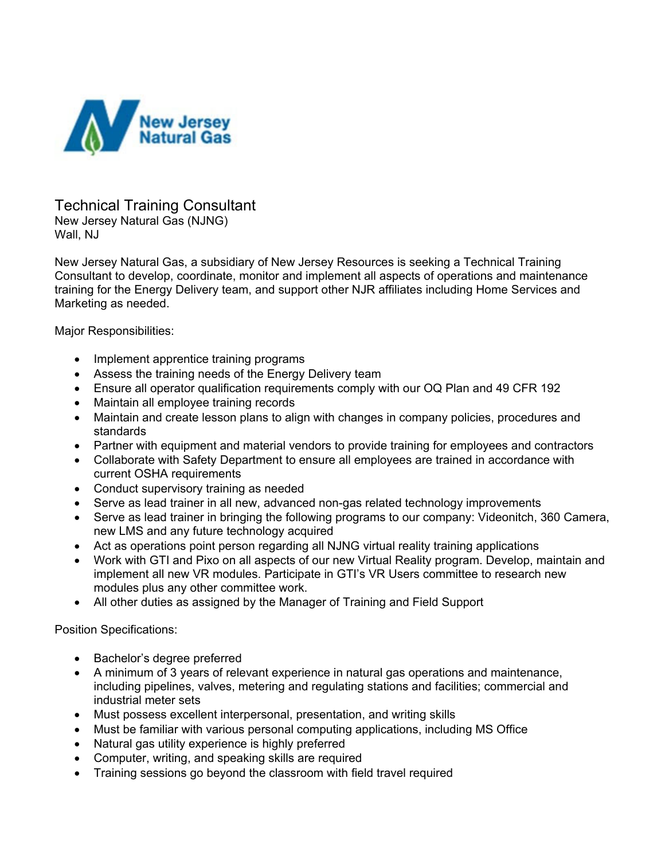

Technical Training Consultant New Jersey Natural Gas (NJNG) Wall, NJ

New Jersey Natural Gas, a subsidiary of New Jersey Resources is seeking a Technical Training Consultant to develop, coordinate, monitor and implement all aspects of operations and maintenance training for the Energy Delivery team, and support other NJR affiliates including Home Services and Marketing as needed.

Major Responsibilities:

- Implement apprentice training programs
- Assess the training needs of the Energy Delivery team
- Ensure all operator qualification requirements comply with our OQ Plan and 49 CFR 192
- Maintain all employee training records
- Maintain and create lesson plans to align with changes in company policies, procedures and standards
- Partner with equipment and material vendors to provide training for employees and contractors
- Collaborate with Safety Department to ensure all employees are trained in accordance with current OSHA requirements
- Conduct supervisory training as needed
- Serve as lead trainer in all new, advanced non-gas related technology improvements
- Serve as lead trainer in bringing the following programs to our company: Videonitch, 360 Camera, new LMS and any future technology acquired
- Act as operations point person regarding all NJNG virtual reality training applications
- Work with GTI and Pixo on all aspects of our new Virtual Reality program. Develop, maintain and implement all new VR modules. Participate in GTI's VR Users committee to research new modules plus any other committee work.
- All other duties as assigned by the Manager of Training and Field Support

Position Specifications:

- Bachelor's degree preferred
- A minimum of 3 years of relevant experience in natural gas operations and maintenance, including pipelines, valves, metering and regulating stations and facilities; commercial and industrial meter sets
- Must possess excellent interpersonal, presentation, and writing skills
- Must be familiar with various personal computing applications, including MS Office
- Natural gas utility experience is highly preferred
- Computer, writing, and speaking skills are required
- Training sessions go beyond the classroom with field travel required